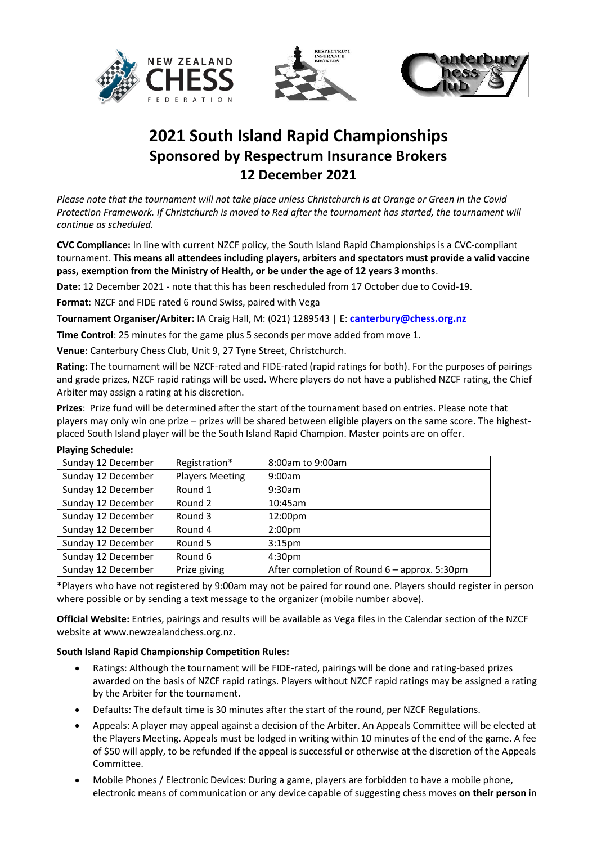





## **2021 South Island Rapid Championships Sponsored by Respectrum Insurance Brokers 12 December 2021**

*Please note that the tournament will not take place unless Christchurch is at Orange or Green in the Covid Protection Framework. If Christchurch is moved to Red after the tournament has started, the tournament will continue as scheduled.*

**CVC Compliance:** In line with current NZCF policy, the South Island Rapid Championships is a CVC-compliant tournament. **This means all attendees including players, arbiters and spectators must provide a valid vaccine pass, exemption from the Ministry of Health, or be under the age of 12 years 3 months**.

**Date:** 12 December 2021 - note that this has been rescheduled from 17 October due to Covid-19.

**Format**: NZCF and FIDE rated 6 round Swiss, paired with Vega

**Tournament Organiser/Arbiter:** IA Craig Hall, M: (021) 1289543 | E: **[canterbury@chess.org.nz](mailto:canterbury@chess.org.nz)**

**Time Control**: 25 minutes for the game plus 5 seconds per move added from move 1.

**Venue**: Canterbury Chess Club, Unit 9, 27 Tyne Street, Christchurch.

**Rating:** The tournament will be NZCF-rated and FIDE-rated (rapid ratings for both). For the purposes of pairings and grade prizes, NZCF rapid ratings will be used. Where players do not have a published NZCF rating, the Chief Arbiter may assign a rating at his discretion.

**Prizes**: Prize fund will be determined after the start of the tournament based on entries. Please note that players may only win one prize – prizes will be shared between eligible players on the same score. The highestplaced South Island player will be the South Island Rapid Champion. Master points are on offer.

| Playing Schedule:  |                        |                                                |
|--------------------|------------------------|------------------------------------------------|
| Sunday 12 December | Registration*          | 8:00am to 9:00am                               |
| Sunday 12 December | <b>Players Meeting</b> | 9:00am                                         |
| Sunday 12 December | Round 1                | 9:30am                                         |
| Sunday 12 December | Round 2                | 10:45am                                        |
| Sunday 12 December | Round 3                | 12:00pm                                        |
| Sunday 12 December | Round 4                | 2:00 <sub>pm</sub>                             |
| Sunday 12 December | Round 5                | 3:15 <sub>pm</sub>                             |
| Sunday 12 December | Round 6                | 4:30 <sub>pm</sub>                             |
| Sunday 12 December | Prize giving           | After completion of Round $6$ – approx. 5:30pm |

## **Playing Schedule:**

\*Players who have not registered by 9:00am may not be paired for round one. Players should register in person where possible or by sending a text message to the organizer (mobile number above).

**Official Website:** Entries, pairings and results will be available as Vega files in the Calendar section of the NZCF website at www.newzealandchess.org.nz.

## **South Island Rapid Championship Competition Rules:**

- Ratings: Although the tournament will be FIDE-rated, pairings will be done and rating-based prizes awarded on the basis of NZCF rapid ratings. Players without NZCF rapid ratings may be assigned a rating by the Arbiter for the tournament.
- Defaults: The default time is 30 minutes after the start of the round, per NZCF Regulations.
- Appeals: A player may appeal against a decision of the Arbiter. An Appeals Committee will be elected at the Players Meeting. Appeals must be lodged in writing within 10 minutes of the end of the game. A fee of \$50 will apply, to be refunded if the appeal is successful or otherwise at the discretion of the Appeals Committee.
- Mobile Phones / Electronic Devices: During a game, players are forbidden to have a mobile phone, electronic means of communication or any device capable of suggesting chess moves **on their person** in